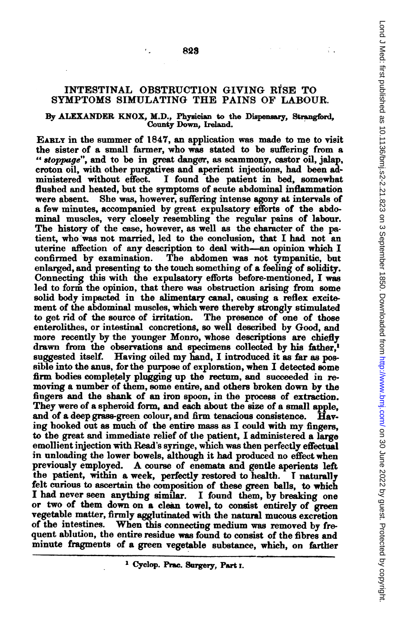## INTESTINAL OBSTRUCTION GIVING RISE TO SYMPTOMS SIMULATING THE PAINS OF LABOUR.

823

٠.

## By ALZEXANDER KNOX, M.D., Physician to the Dispensary, Strangford, County Down, Ireland.

EARLY in the summer of 1847, an application was made to me to visit the sister of a small farmer, who was stated to be suffering from a " stoppage", and to be in great danger, as scammony, castor oil, jalap, croton oil, with other purgatives and aperient injections, had been ad-I found the patient in bed, somewhat flushed and heated, but the symptoms of acute abdominal inflammation were absent. She was, however, suffering intense agony at intervals of a few minutes, accompanied by great expulsatory efforts of the abdominal muscles, very closely resembling the regular pains of labour. The history of the case, however, as well as the character of the patient, who was not married, led to the conclusion, that I had not an uterine affection of any description to deal with-an opinion which I confirned by, examination. The abdomen was not tympanitic, but enlarged, and presenting to the touch something of a feeling of solidity. Connecting this with the expulsatory efforts before-mentioned, I was led to form the opinion, that there was obstruction arising from some solid body impacted in the aimentary canal, causing a reflex excitement of the abdominal muscles, which were thereby strongly stimulated to get rid of the source of irritation. The presence of one of those enterolithes, or intestinal concretions, so well deswribed by Good, and more recently by the younger Monro, whose descriptions are chiefly drawn from the observations and specimens collected by his father, suggested itself. Having oiled my hand, <sup>I</sup> introduced it as far as possible into the anus, for the purpose of exploration, when I detected some firm bodies completely plugging up the rectum, and succeeded in removing a number of them, some entire, and others broken down by the fingers and the shank of an iron spoon, in the process of extraction. They were of a spheroid form, and each about the size of a small apple, and of a deep grass-green colour, and firm tenacious consistence. Having hooked out as much of the entire mass as <sup>I</sup> could with my fingers, to the great and immediate relief of the patient, I administered a large emollient injection with Read's syringe, which was then perfectly effectual in unloading the lower bowels, although it had produced no effect when previously employed. A course of enemata and gentle aperients left the patient, within a week, perfectly restored to health. T naturally felt curious to ascertain the composition of these green balls, to wbich I had never seen anything similar. I found them, by breaking one or two of them down on a cleen towel, to consist entirely of green vegetable matter, firmly agglutinated with the natural mucous excretion of the intestines. When this connecting medium was removed by frequent ablution, the entire residue was found to consist of the fibres and minute fragments of a green vegetable substance, which, on farther

<sup>&</sup>lt;sup>1</sup> Cyclop. Prac. Surgery, Part I.